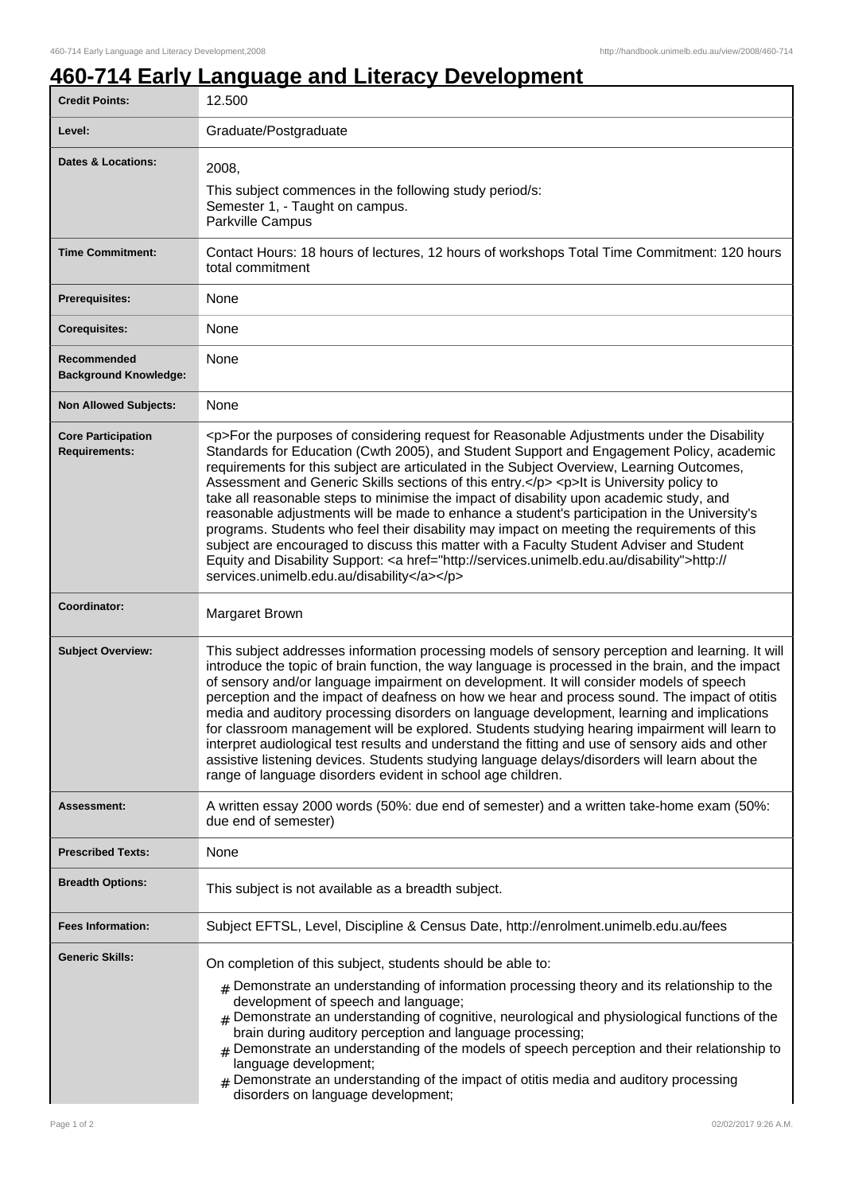## **460-714 Early Language and Literacy Development**

| <b>Credit Points:</b>                             | 12.500                                                                                                                                                                                                                                                                                                                                                                                                                                                                                                                                                                                                                                                                                                                                                                                                                                                                                                                       |
|---------------------------------------------------|------------------------------------------------------------------------------------------------------------------------------------------------------------------------------------------------------------------------------------------------------------------------------------------------------------------------------------------------------------------------------------------------------------------------------------------------------------------------------------------------------------------------------------------------------------------------------------------------------------------------------------------------------------------------------------------------------------------------------------------------------------------------------------------------------------------------------------------------------------------------------------------------------------------------------|
| Level:                                            | Graduate/Postgraduate                                                                                                                                                                                                                                                                                                                                                                                                                                                                                                                                                                                                                                                                                                                                                                                                                                                                                                        |
| <b>Dates &amp; Locations:</b>                     | 2008,<br>This subject commences in the following study period/s:<br>Semester 1, - Taught on campus.<br>Parkville Campus                                                                                                                                                                                                                                                                                                                                                                                                                                                                                                                                                                                                                                                                                                                                                                                                      |
| <b>Time Commitment:</b>                           | Contact Hours: 18 hours of lectures, 12 hours of workshops Total Time Commitment: 120 hours<br>total commitment                                                                                                                                                                                                                                                                                                                                                                                                                                                                                                                                                                                                                                                                                                                                                                                                              |
| <b>Prerequisites:</b>                             | None                                                                                                                                                                                                                                                                                                                                                                                                                                                                                                                                                                                                                                                                                                                                                                                                                                                                                                                         |
| <b>Corequisites:</b>                              | None                                                                                                                                                                                                                                                                                                                                                                                                                                                                                                                                                                                                                                                                                                                                                                                                                                                                                                                         |
| Recommended<br><b>Background Knowledge:</b>       | None                                                                                                                                                                                                                                                                                                                                                                                                                                                                                                                                                                                                                                                                                                                                                                                                                                                                                                                         |
| <b>Non Allowed Subjects:</b>                      | None                                                                                                                                                                                                                                                                                                                                                                                                                                                                                                                                                                                                                                                                                                                                                                                                                                                                                                                         |
| <b>Core Participation</b><br><b>Requirements:</b> | <p>For the purposes of considering request for Reasonable Adjustments under the Disability<br/>Standards for Education (Cwth 2005), and Student Support and Engagement Policy, academic<br/>requirements for this subject are articulated in the Subject Overview, Learning Outcomes,<br/>Assessment and Generic Skills sections of this entry.</p> <p>lt is University policy to<br/>take all reasonable steps to minimise the impact of disability upon academic study, and<br/>reasonable adjustments will be made to enhance a student's participation in the University's<br/>programs. Students who feel their disability may impact on meeting the requirements of this<br/>subject are encouraged to discuss this matter with a Faculty Student Adviser and Student<br/>Equity and Disability Support: &lt; a href="http://services.unimelb.edu.au/disability"&gt;http://<br/>services.unimelb.edu.au/disability</p> |
| Coordinator:                                      | Margaret Brown                                                                                                                                                                                                                                                                                                                                                                                                                                                                                                                                                                                                                                                                                                                                                                                                                                                                                                               |
| <b>Subject Overview:</b>                          | This subject addresses information processing models of sensory perception and learning. It will<br>introduce the topic of brain function, the way language is processed in the brain, and the impact<br>of sensory and/or language impairment on development. It will consider models of speech<br>perception and the impact of deafness on how we hear and process sound. The impact of otitis<br>media and auditory processing disorders on language development, learning and implications<br>for classroom management will be explored. Students studying hearing impairment will learn to<br>interpret audiological test results and understand the fitting and use of sensory aids and other<br>assistive listening devices. Students studying language delays/disorders will learn about the<br>range of language disorders evident in school age children.                                                          |
| <b>Assessment:</b>                                | A written essay 2000 words (50%: due end of semester) and a written take-home exam (50%:<br>due end of semester)                                                                                                                                                                                                                                                                                                                                                                                                                                                                                                                                                                                                                                                                                                                                                                                                             |
| <b>Prescribed Texts:</b>                          | None                                                                                                                                                                                                                                                                                                                                                                                                                                                                                                                                                                                                                                                                                                                                                                                                                                                                                                                         |
| <b>Breadth Options:</b>                           | This subject is not available as a breadth subject.                                                                                                                                                                                                                                                                                                                                                                                                                                                                                                                                                                                                                                                                                                                                                                                                                                                                          |
| <b>Fees Information:</b>                          | Subject EFTSL, Level, Discipline & Census Date, http://enrolment.unimelb.edu.au/fees                                                                                                                                                                                                                                                                                                                                                                                                                                                                                                                                                                                                                                                                                                                                                                                                                                         |
| <b>Generic Skills:</b>                            | On completion of this subject, students should be able to:<br>$_{\#}$ Demonstrate an understanding of information processing theory and its relationship to the<br>development of speech and language;<br>Demonstrate an understanding of cognitive, neurological and physiological functions of the<br>#<br>brain during auditory perception and language processing;<br>$#$ Demonstrate an understanding of the models of speech perception and their relationship to<br>language development;<br>$_{\#}$ Demonstrate an understanding of the impact of otitis media and auditory processing<br>disorders on language development;                                                                                                                                                                                                                                                                                         |